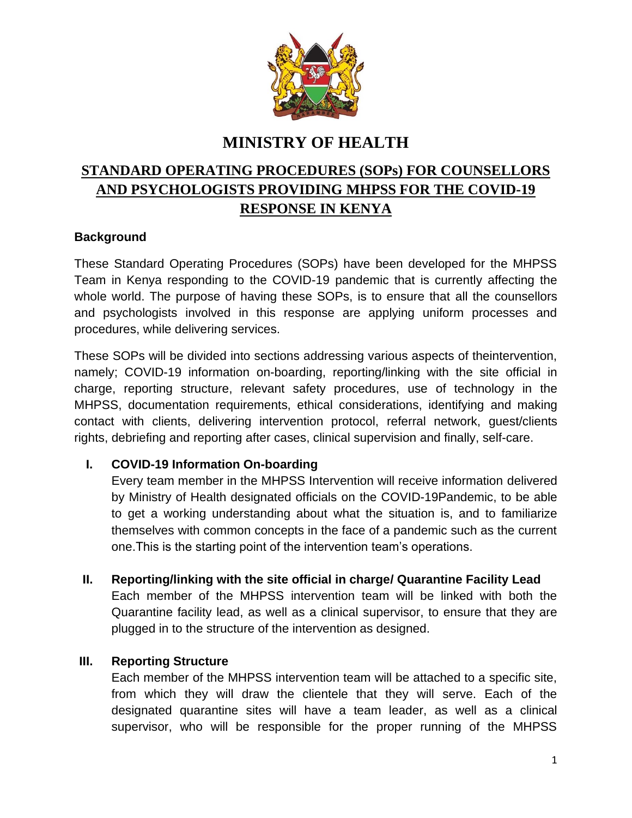

## **MINISTRY OF HEALTH**

# **STANDARD OPERATING PROCEDURES (SOPs) FOR COUNSELLORS AND PSYCHOLOGISTS PROVIDING MHPSS FOR THE COVID-19 RESPONSE IN KENYA**

## **Background**

These Standard Operating Procedures (SOPs) have been developed for the MHPSS Team in Kenya responding to the COVID-19 pandemic that is currently affecting the whole world. The purpose of having these SOPs, is to ensure that all the counsellors and psychologists involved in this response are applying uniform processes and procedures, while delivering services.

These SOPs will be divided into sections addressing various aspects of theintervention, namely; COVID-19 information on-boarding, reporting/linking with the site official in charge, reporting structure, relevant safety procedures, use of technology in the MHPSS, documentation requirements, ethical considerations, identifying and making contact with clients, delivering intervention protocol, referral network, guest/clients rights, debriefing and reporting after cases, clinical supervision and finally, self-care.

#### **I. COVID-19 Information On-boarding**

Every team member in the MHPSS Intervention will receive information delivered by Ministry of Health designated officials on the COVID-19Pandemic, to be able to get a working understanding about what the situation is, and to familiarize themselves with common concepts in the face of a pandemic such as the current one.This is the starting point of the intervention team's operations.

**II. Reporting/linking with the site official in charge/ Quarantine Facility Lead**

Each member of the MHPSS intervention team will be linked with both the Quarantine facility lead, as well as a clinical supervisor, to ensure that they are plugged in to the structure of the intervention as designed.

#### **III. Reporting Structure**

Each member of the MHPSS intervention team will be attached to a specific site, from which they will draw the clientele that they will serve. Each of the designated quarantine sites will have a team leader, as well as a clinical supervisor, who will be responsible for the proper running of the MHPSS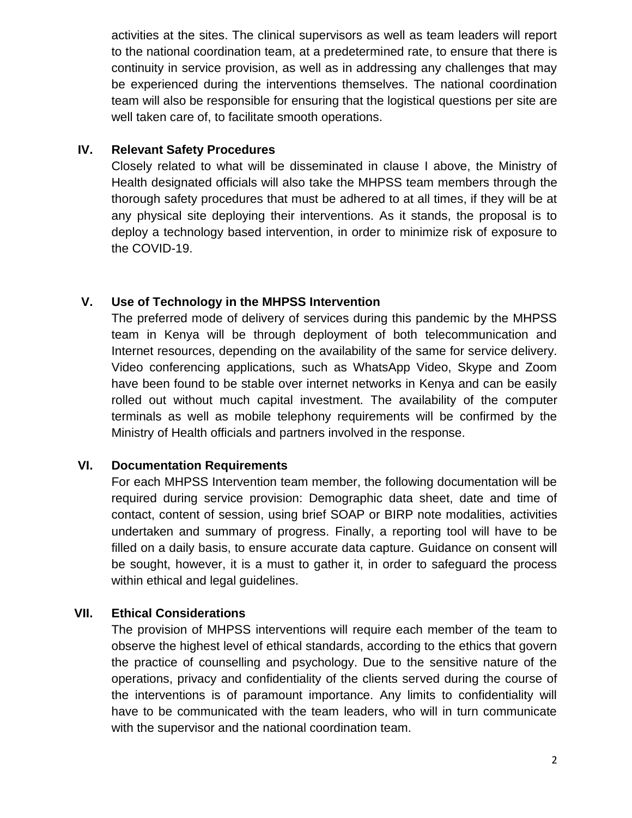activities at the sites. The clinical supervisors as well as team leaders will report to the national coordination team, at a predetermined rate, to ensure that there is continuity in service provision, as well as in addressing any challenges that may be experienced during the interventions themselves. The national coordination team will also be responsible for ensuring that the logistical questions per site are well taken care of, to facilitate smooth operations.

## **IV. Relevant Safety Procedures**

Closely related to what will be disseminated in clause I above, the Ministry of Health designated officials will also take the MHPSS team members through the thorough safety procedures that must be adhered to at all times, if they will be at any physical site deploying their interventions. As it stands, the proposal is to deploy a technology based intervention, in order to minimize risk of exposure to the COVID-19.

## **V. Use of Technology in the MHPSS Intervention**

The preferred mode of delivery of services during this pandemic by the MHPSS team in Kenya will be through deployment of both telecommunication and Internet resources, depending on the availability of the same for service delivery. Video conferencing applications, such as WhatsApp Video, Skype and Zoom have been found to be stable over internet networks in Kenya and can be easily rolled out without much capital investment. The availability of the computer terminals as well as mobile telephony requirements will be confirmed by the Ministry of Health officials and partners involved in the response.

## **VI. Documentation Requirements**

For each MHPSS Intervention team member, the following documentation will be required during service provision: Demographic data sheet, date and time of contact, content of session, using brief SOAP or BIRP note modalities, activities undertaken and summary of progress. Finally, a reporting tool will have to be filled on a daily basis, to ensure accurate data capture. Guidance on consent will be sought, however, it is a must to gather it, in order to safeguard the process within ethical and legal guidelines.

## **VII. Ethical Considerations**

The provision of MHPSS interventions will require each member of the team to observe the highest level of ethical standards, according to the ethics that govern the practice of counselling and psychology. Due to the sensitive nature of the operations, privacy and confidentiality of the clients served during the course of the interventions is of paramount importance. Any limits to confidentiality will have to be communicated with the team leaders, who will in turn communicate with the supervisor and the national coordination team.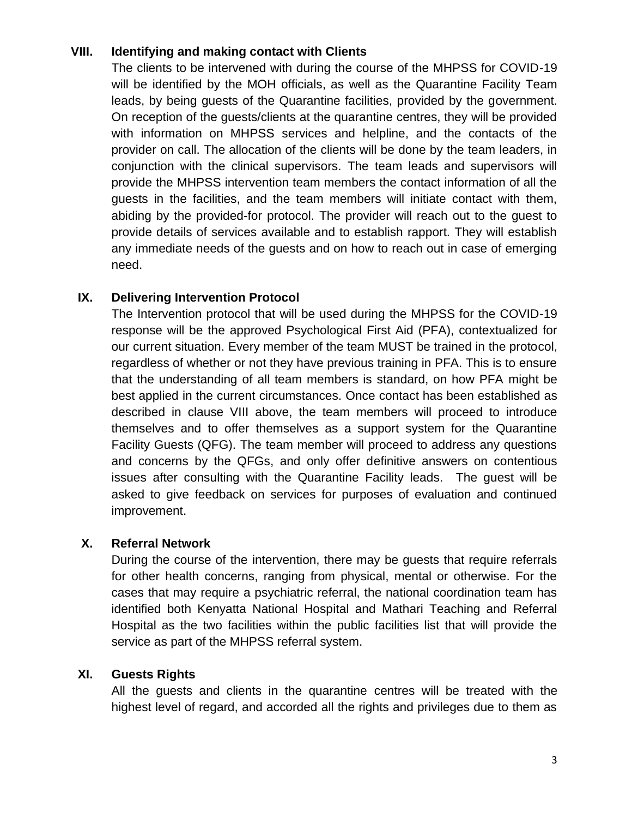## **VIII. Identifying and making contact with Clients**

The clients to be intervened with during the course of the MHPSS for COVID-19 will be identified by the MOH officials, as well as the Quarantine Facility Team leads, by being guests of the Quarantine facilities, provided by the government. On reception of the guests/clients at the quarantine centres, they will be provided with information on MHPSS services and helpline, and the contacts of the provider on call. The allocation of the clients will be done by the team leaders, in conjunction with the clinical supervisors. The team leads and supervisors will provide the MHPSS intervention team members the contact information of all the guests in the facilities, and the team members will initiate contact with them, abiding by the provided-for protocol. The provider will reach out to the guest to provide details of services available and to establish rapport. They will establish any immediate needs of the guests and on how to reach out in case of emerging need.

## **IX. Delivering Intervention Protocol**

The Intervention protocol that will be used during the MHPSS for the COVID-19 response will be the approved Psychological First Aid (PFA), contextualized for our current situation. Every member of the team MUST be trained in the protocol, regardless of whether or not they have previous training in PFA. This is to ensure that the understanding of all team members is standard, on how PFA might be best applied in the current circumstances. Once contact has been established as described in clause VIII above, the team members will proceed to introduce themselves and to offer themselves as a support system for the Quarantine Facility Guests (QFG). The team member will proceed to address any questions and concerns by the QFGs, and only offer definitive answers on contentious issues after consulting with the Quarantine Facility leads. The guest will be asked to give feedback on services for purposes of evaluation and continued improvement.

## **X. Referral Network**

During the course of the intervention, there may be guests that require referrals for other health concerns, ranging from physical, mental or otherwise. For the cases that may require a psychiatric referral, the national coordination team has identified both Kenyatta National Hospital and Mathari Teaching and Referral Hospital as the two facilities within the public facilities list that will provide the service as part of the MHPSS referral system.

## **XI. Guests Rights**

All the guests and clients in the quarantine centres will be treated with the highest level of regard, and accorded all the rights and privileges due to them as